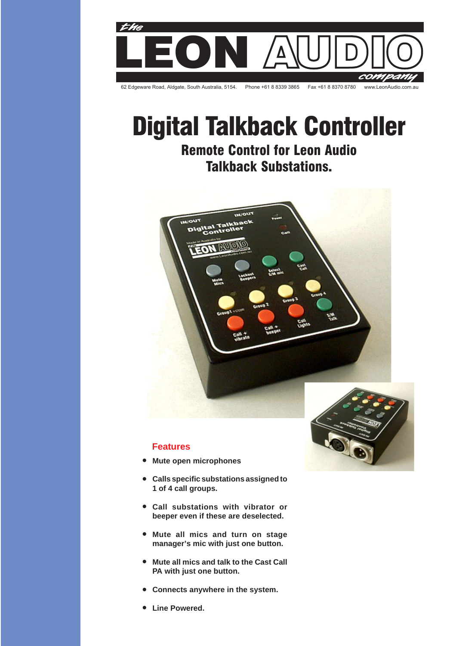

# **Digital Talkback Controller Remote Control for Leon Audio Talkback Substations.**



## **Features**

- **Mute open microphones**
- **Calls specific substations assigned to 1 of 4 call groups.**
- **Call substations with vibrator or beeper even if these are deselected.**
- **Mute all mics and turn on stage manager's mic with just one button.**
- **Mute all mics and talk to the Cast Call PA with just one button.**
- **Connects anywhere in the system.**  $\bullet$
- **Line Powered.**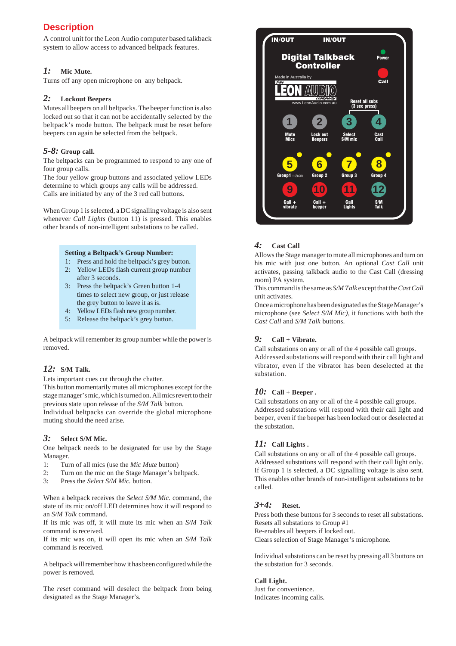# **Description**

A control unit for the Leon Audio computer based talkback system to allow access to advanced beltpack features.

## *1:* **Mic Mute.**

Turns off any open microphone on any beltpack.

#### *2:* **Lockout Beepers**

Mutes all beepers on all beltpacks. The beeper function is also locked out so that it can not be accidentally selected by the beltpack's mode button. The beltpack must be reset before beepers can again be selected from the beltpack.

### *5-8:* **Group call.**

The beltpacks can be programmed to respond to any one of four group calls.

The four yellow group buttons and associated yellow LEDs determine to which groups any calls will be addressed. Calls are initiated by any of the 3 red call buttons.

When Group 1 is selected, a DC signalling voltage is also sent whenever *Call Lights* (button 11) is pressed. This enables other brands of non-intelligent substations to be called.

#### **Setting a Beltpack's Group Number:**

- 1: Press and hold the beltpack's grey button.
- 2: Yellow LEDs flash current group number after 3 seconds.
- 3: Press the beltpack's Green button 1-4 times to select new group, or just release the grey button to leave it as is.
- 4: Yellow LEDs flash new group number.
- 5: Release the beltpack's grey button.

A beltpack will remember its group number while the power is removed.

## *12:* **S/M Talk.**

Lets important cues cut through the chatter.

This button momentarily mutes all microphones except for the stage manager's mic, which is turned on. All mics revert to their previous state upon release of the *S/M Talk* button. Individual beltpacks can override the global microphone muting should the need arise.

### *3:* **Select S/M Mic.**

One beltpack needs to be designated for use by the Stage Manager.

- 1: Turn of all mics (use the *Mic Mute* button)
- 2: Turn on the mic on the Stage Manager's beltpack.
- 3: Press the *Select S/M Mic.* button.

When a beltpack receives the *Select S/M Mic.* command, the state of its mic on/off LED determines how it will respond to an *S/M Talk* command.

If its mic was off, it will mute its mic when an *S/M Talk* command is received.

If its mic was on, it will open its mic when an *S/M Talk* command is received.

A beltpack will remember how it has been configured while the power is removed.

The *reset* command will deselect the beltpack from being designated as the Stage Manager's.



## *4:* **Cast Call**

Allows the Stage manager to mute all microphones and turn on his mic with just one button. An optional *Cast Call* unit activates, passing talkback audio to the Cast Call (dressing room) PA system.

This command is the same as *S/M Talk* except that the *Cast Call* unit activates.

Once a microphone has been designated as the Stage Manager's microphone (see *Select S/M Mic)*, it functions with both the *Cast Call* and *S/M Talk* buttons.

## *9:* **Call + Vibrate.**

Call substations on any or all of the 4 possible call groups. Addressed substations will respond with their call light and vibrator, even if the vibrator has been deselected at the substation.

### *10:* **Call + Beeper .**

Call substations on any or all of the 4 possible call groups. Addressed substations will respond with their call light and beeper, even if the beeper has been locked out or deselected at the substation.

### *11:* **Call Lights .**

Call substations on any or all of the 4 possible call groups. Addressed substations will respond with their call light only. If Group 1 is selected, a DC signalling voltage is also sent. This enables other brands of non-intelligent substations to be called.

### *3+4:* **Reset.**

Press both these buttons for 3 seconds to reset all substations. Resets all substations to Group #1 Re-enables all beepers if locked out. Clears selection of Stage Manager's microphone.

Individual substations can be reset by pressing all 3 buttons on the substation for 3 seconds.

#### **Call Light.**

Just for convenience. Indicates incoming calls.